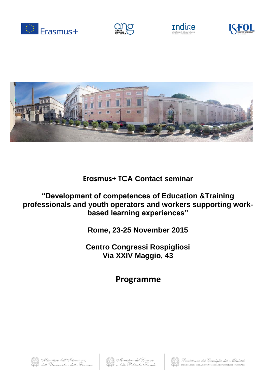









**Erasmus+ TCA Contact seminar**

## **"Development of competences of Education &Training professionals and youth operators and workers supporting workbased learning experiences"**

**Rome, 23-25 November 2015**

**Centro Congressi Rospigliosi Via XXIV Maggio, 43**

**Programme**





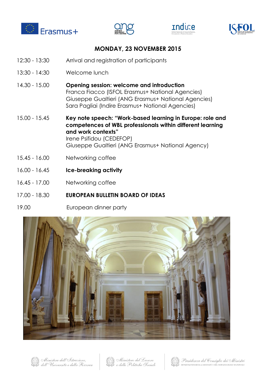







## **MONDAY, 23 NOVEMBER 2015**

- 12:30 13:30 Arrival and registration of participants
- 13:30 14:30 Welcome lunch
- 14.30 15.00 **Opening session: welcome and introduction**  Franca Fiacco (ISFOL Erasmus+ National Agencies) Giuseppe Gualtieri (ANG Erasmus+ National Agencies) Sara Pagliai (Indire Erasmus+ National Agencies)
- 15.00 15.45 **Key note speech: "Work-based learning in Europe: role and competences of WBL professionals within different learning and work contexts"**  Irene Psifidou (CEDEFOP) Giuseppe Gualtieri (ANG Erasmus+ National Agency)
- 15.45 16.00 Networking coffee
- 16.00 16.45 **Ice-breaking activity**
- 16.45 17.00 Networking coffee
- 17.00 18.30 **EUROPEAN BULLETIN BOARD OF IDEAS**
- 19.00 European dinner party





Ministero dell'Istruzione, dell'Università e della Ricerca





Presidenza del Consiglio dei Ministri DIPARTIMENTO DELLA GIOVENTÙ E DEL SERVIZIO CIVILE NAZIONALE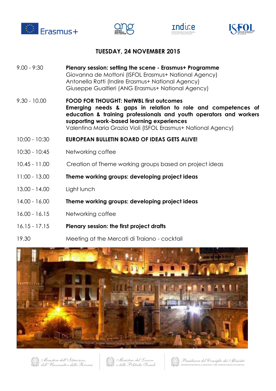







## **TUESDAY, 24 NOVEMBER 2015**

- 9.00 9:30 **Plenary session: setting the scene - Erasmus+ Programme**  Giovanna de Mottoni (ISFOL Erasmus+ National Agency) Antonella Ratti (Indire Erasmus+ National Agency) Giuseppe Gualtieri (ANG Erasmus+ National Agency)
- 9.30 10.00 **FOOD FOR THOUGHT: NetWBL first outcomes Emerging needs & gaps in relation to role and competences of education & training professionals and youth operators and workers supporting work-based learning experiences**  Valentina Maria Grazia Violi (ISFOL Erasmus+ National Agency)
- 10:00 10:30 **EUROPEAN BULLETIN BOARD OF IDEAS GETS ALIVE!**
- 10:30 10:45 Networking coffee
- 10.45 11.00 Creation of Theme working groups based on project ideas
- 11:00 13.00 **Theme working groups: developing project ideas**
- 13.00 14.00 Light lunch
- 14.00 16.00 **Theme working groups: developing project ideas**
- 16.00 16.15 Networking coffee
- 16.15 17.15 **Plenary session: the first project drafts**
- 19.30 Meeting at the Mercati di Traiano cocktail





Ministero dell'Istruzione. dell'Università e della Ricerca Ministero del Lavoro e delle Politiche Sociali



Presidenza del Consiglio dei Ministri DIPARTIMENTO DELLA GIOVENTÙ E DEL SERVIZIO CIVILE NAZIONALE